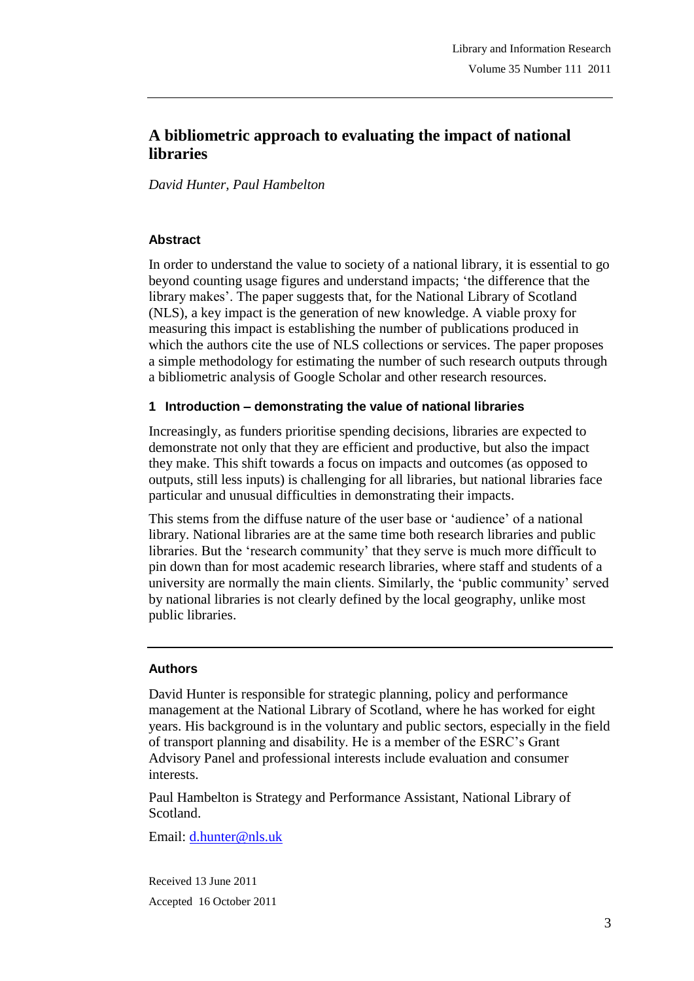# **A bibliometric approach to evaluating the impact of national libraries**

*David Hunter, Paul Hambelton*

### **Abstract**

In order to understand the value to society of a national library, it is essential to go beyond counting usage figures and understand impacts; "the difference that the library makes". The paper suggests that, for the National Library of Scotland (NLS), a key impact is the generation of new knowledge. A viable proxy for measuring this impact is establishing the number of publications produced in which the authors cite the use of NLS collections or services. The paper proposes a simple methodology for estimating the number of such research outputs through a bibliometric analysis of Google Scholar and other research resources.

### **1 Introduction – demonstrating the value of national libraries**

Increasingly, as funders prioritise spending decisions, libraries are expected to demonstrate not only that they are efficient and productive, but also the impact they make. This shift towards a focus on impacts and outcomes (as opposed to outputs, still less inputs) is challenging for all libraries, but national libraries face particular and unusual difficulties in demonstrating their impacts.

This stems from the diffuse nature of the user base or "audience" of a national library. National libraries are at the same time both research libraries and public libraries. But the "research community" that they serve is much more difficult to pin down than for most academic research libraries, where staff and students of a university are normally the main clients. Similarly, the "public community" served by national libraries is not clearly defined by the local geography, unlike most public libraries.

### **Authors**

David Hunter is responsible for strategic planning, policy and performance management at the National Library of Scotland, where he has worked for eight years. His background is in the voluntary and public sectors, especially in the field of transport planning and disability. He is a member of the ESRC"s Grant Advisory Panel and professional interests include evaluation and consumer interests.

Paul Hambelton is Strategy and Performance Assistant, National Library of Scotland.

Email: d.hunter@nls.uk

Received 13 June 2011 Accepted 16 October 2011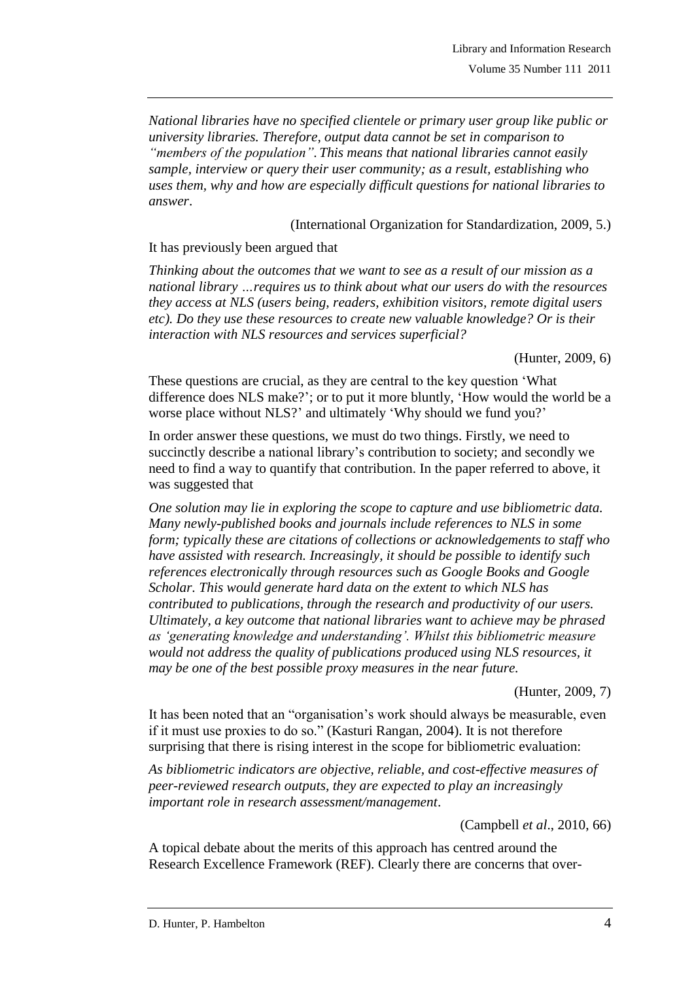*National libraries have no specified clientele or primary user group like public or university libraries. Therefore, output data cannot be set in comparison to "members of the population". This means that national libraries cannot easily sample, interview or query their user community; as a result, establishing who uses them, why and how are especially difficult questions for national libraries to answer*.

(International Organization for Standardization, 2009, 5.)

It has previously been argued that

*Thinking about the outcomes that we want to see as a result of our mission as a national library …requires us to think about what our users do with the resources they access at NLS (users being, readers, exhibition visitors, remote digital users etc). Do they use these resources to create new valuable knowledge? Or is their interaction with NLS resources and services superficial?*

(Hunter, 2009, 6)

These questions are crucial, as they are central to the key question "What difference does NLS make?"; or to put it more bluntly, "How would the world be a worse place without NLS?' and ultimately 'Why should we fund you?'

In order answer these questions, we must do two things. Firstly, we need to succinctly describe a national library's contribution to society; and secondly we need to find a way to quantify that contribution. In the paper referred to above, it was suggested that

*One solution may lie in exploring the scope to capture and use bibliometric data. Many newly-published books and journals include references to NLS in some form; typically these are citations of collections or acknowledgements to staff who have assisted with research. Increasingly, it should be possible to identify such references electronically through resources such as Google Books and Google Scholar. This would generate hard data on the extent to which NLS has contributed to publications, through the research and productivity of our users. Ultimately, a key outcome that national libraries want to achieve may be phrased as "generating knowledge and understanding". Whilst this bibliometric measure would not address the quality of publications produced using NLS resources, it may be one of the best possible proxy measures in the near future.*

(Hunter, 2009, 7)

It has been noted that an "organisation"s work should always be measurable, even if it must use proxies to do so." (Kasturi Rangan, 2004). It is not therefore surprising that there is rising interest in the scope for bibliometric evaluation:

*As bibliometric indicators are objective, reliable, and cost-effective measures of peer-reviewed research outputs, they are expected to play an increasingly important role in research assessment/management*.

(Campbell *et al*., 2010, 66)

A topical debate about the merits of this approach has centred around the Research Excellence Framework (REF). Clearly there are concerns that over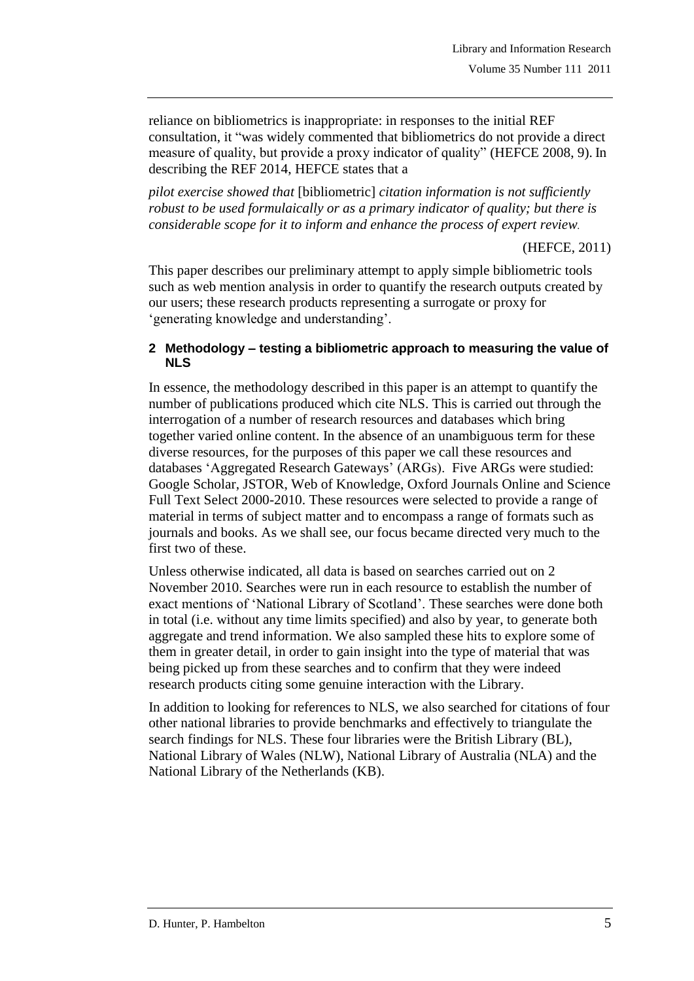reliance on bibliometrics is inappropriate: in responses to the initial REF consultation, it "was widely commented that bibliometrics do not provide a direct measure of quality, but provide a proxy indicator of quality" (HEFCE 2008, 9). In describing the REF 2014, HEFCE states that a

*pilot exercise showed that* [bibliometric] *citation information is not sufficiently robust to be used formulaically or as a primary indicator of quality; but there is considerable scope for it to inform and enhance the process of expert review.*

(HEFCE, 2011)

This paper describes our preliminary attempt to apply simple bibliometric tools such as web mention analysis in order to quantify the research outputs created by our users; these research products representing a surrogate or proxy for ' generating knowledge and understanding'.

#### **2 Methodology – testing a bibliometric approach to measuring the value of NLS**

In essence, the methodology described in this paper is an attempt to quantify the number of publications produced which cite NLS. This is carried out through the interrogation of a number of research resources and databases which bring together varied online content. In the absence of an unambiguous term for these diverse resources, for the purposes of this paper we call these resources and databases "Aggregated Research Gateways" (ARGs). Five ARGs were studied: Google Scholar, JSTOR, Web of Knowledge, Oxford Journals Online and Science Full Text Select 2000-2010. These resources were selected to provide a range of material in terms of subject matter and to encompass a range of formats such as journals and books. As we shall see, our focus became directed very much to the first two of these.

Unless otherwise indicated, all data is based on searches carried out on 2 November 2010. Searches were run in each resource to establish the number of exact mentions of "National Library of Scotland". These searches were done both in total (i.e. without any time limits specified) and also by year, to generate both aggregate and trend information. We also sampled these hits to explore some of them in greater detail, in order to gain insight into the type of material that was being picked up from these searches and to confirm that they were indeed research products citing some genuine interaction with the Library.

In addition to looking for references to NLS, we also searched for citations of four other national libraries to provide benchmarks and effectively to triangulate the search findings for NLS. These four libraries were the British Library (BL), National Library of Wales (NLW), National Library of Australia (NLA) and the National Library of the Netherlands (KB).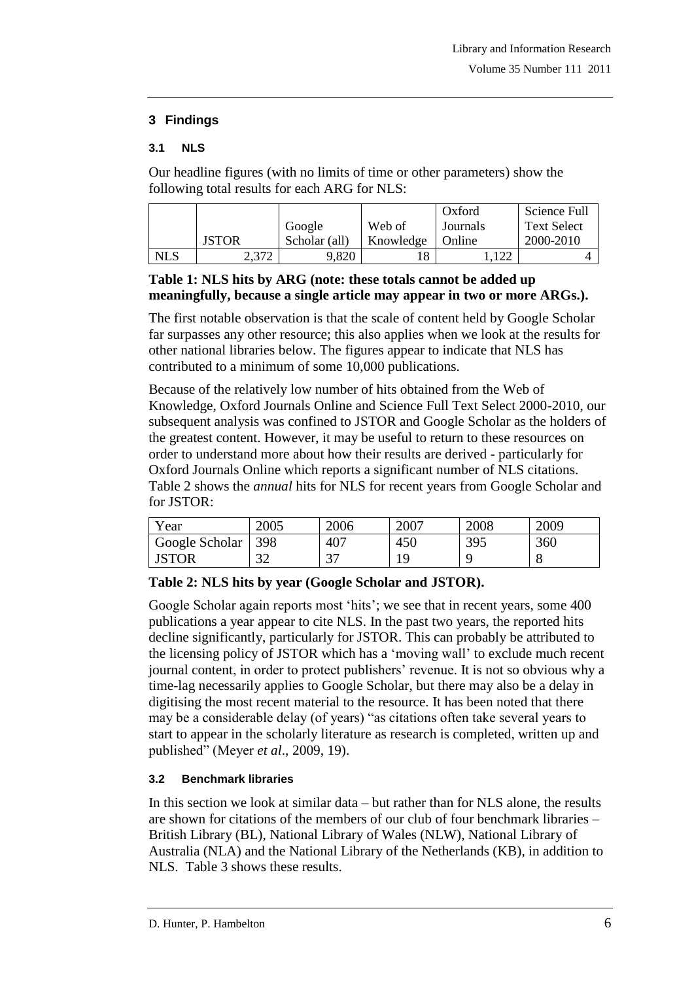# **3 Findings**

## **3.1 NLS**

Our headline figures (with no limits of time or other parameters) show the following total results for each ARG for NLS:

|     |              |               |           | Oxford   | Science Full       |
|-----|--------------|---------------|-----------|----------|--------------------|
|     |              | Google        | Web of    | Journals | <b>Text Select</b> |
|     | <b>JSTOR</b> | Scholar (all) | Knowledge | Online   | 2000-2010          |
| NLS | 2,372        | 9,820         | 18        |          |                    |

# **Table 1: NLS hits by ARG (note: these totals cannot be added up meaningfully, because a single article may appear in two or more ARGs.).**

The first notable observation is that the scale of content held by Google Scholar far surpasses any other resource; this also applies when we look at the results for other national libraries below. The figures appear to indicate that NLS has contributed to a minimum of some 10,000 publications.

Because of the relatively low number of hits obtained from the Web of Knowledge, Oxford Journals Online and Science Full Text Select 2000-2010, our subsequent analysis was confined to JSTOR and Google Scholar as the holders of the greatest content. However, it may be useful to return to these resources on order to understand more about how their results are derived - particularly for Oxford Journals Online which reports a significant number of NLS citations. Table 2 shows the *annual* hits for NLS for recent years from Google Scholar and for JSTOR:

| Year           | 2005            | 2006 | 2007 | 2008 | 2009 |
|----------------|-----------------|------|------|------|------|
| Google Scholar | $\vert$ 398     | 407  | 450  | 395  | 360  |
| <b>JSTOR</b>   | $\Omega$<br>ے ب | っっ   |      |      |      |

# **Table 2: NLS hits by year (Google Scholar and JSTOR).**

Google Scholar again reports most 'hits'; we see that in recent years, some 400 publications a year appear to cite NLS. In the past two years, the reported hits decline significantly, particularly for JSTOR. This can probably be attributed to the licensing policy of JSTOR which has a "moving wall" to exclude much recent journal content, in order to protect publishers' revenue. It is not so obvious why a time-lag necessarily applies to Google Scholar, but there may also be a delay in digitising the most recent material to the resource. It has been noted that there may be a considerable delay (of years) "as citations often take several years to start to appear in the scholarly literature as research is completed, written up and published" (Meyer *et al*., 2009, 19).

# **3.2 Benchmark libraries**

In this section we look at similar data – but rather than for NLS alone, the results are shown for citations of the members of our club of four benchmark libraries – British Library (BL), National Library of Wales (NLW), National Library of Australia (NLA) and the National Library of the Netherlands (KB), in addition to NLS. Table 3 shows these results.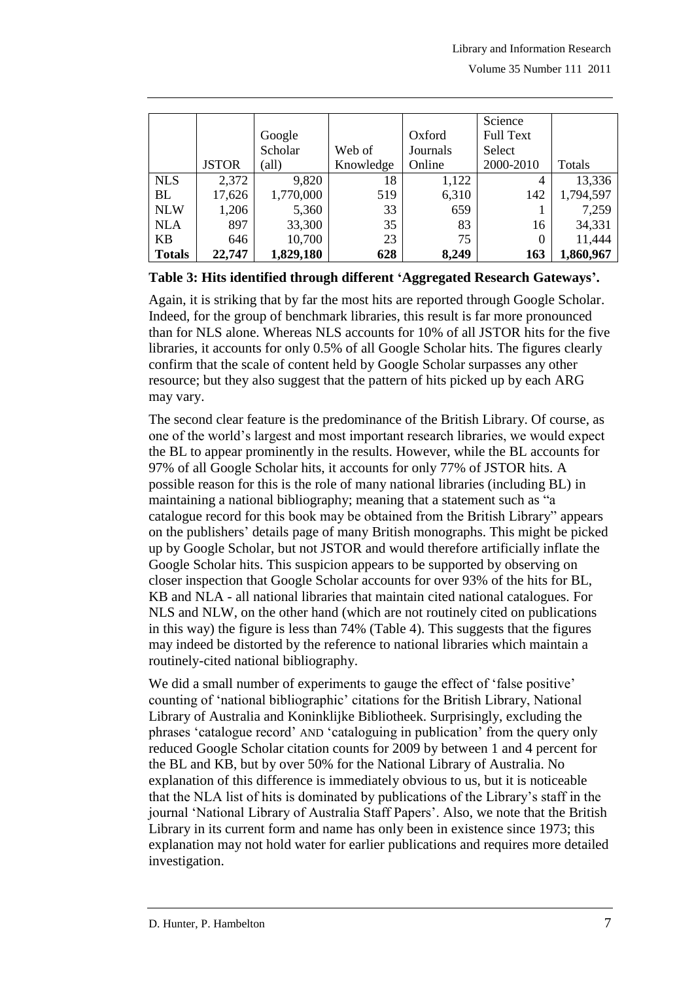|               |              |           |           |          | Science          |           |
|---------------|--------------|-----------|-----------|----------|------------------|-----------|
|               |              | Google    |           | Oxford   | <b>Full Text</b> |           |
|               |              | Scholar   | Web of    | Journals | Select           |           |
|               | <b>JSTOR</b> | (all)     | Knowledge | Online   | 2000-2010        | Totals    |
| <b>NLS</b>    | 2,372        | 9,820     | 18        | 1,122    | 4                | 13,336    |
| BL            | 17,626       | 1,770,000 | 519       | 6,310    | 142              | 1,794,597 |
| <b>NLW</b>    | 1,206        | 5,360     | 33        | 659      |                  | 7,259     |
| <b>NLA</b>    | 897          | 33,300    | 35        | 83       | 16               | 34,331    |
| <b>KB</b>     | 646          | 10,700    | 23        | 75       | 0                | 11,444    |
| <b>Totals</b> | 22,747       | 1,829,180 | 628       | 8,249    | 163              | 1,860,967 |

### **Table 3: Hits identified through different "Aggregated Research Gateways".**

Again, it is striking that by far the most hits are reported through Google Scholar. Indeed, for the group of benchmark libraries, this result is far more pronounced than for NLS alone. Whereas NLS accounts for 10% of all JSTOR hits for the five libraries, it accounts for only 0.5% of all Google Scholar hits. The figures clearly confirm that the scale of content held by Google Scholar surpasses any other resource; but they also suggest that the pattern of hits picked up by each ARG may vary.

The second clear feature is the predominance of the British Library. Of course, as one of the world"s largest and most important research libraries, we would expect the BL to appear prominently in the results. However, while the BL accounts for 97% of all Google Scholar hits, it accounts for only 77% of JSTOR hits. A possible reason for this is the role of many national libraries (including BL) in maintaining a national bibliography; meaning that a statement such as "a catalogue record for this book may be obtained from the British Library" appears on the publishers" details page of many British monographs. This might be picked up by Google Scholar, but not JSTOR and would therefore artificially inflate the Google Scholar hits. This suspicion appears to be supported by observing on closer inspection that Google Scholar accounts for over 93% of the hits for BL, KB and NLA - all national libraries that maintain cited national catalogues. For NLS and NLW, on the other hand (which are not routinely cited on publications in this way) the figure is less than 74% (Table 4). This suggests that the figures may indeed be distorted by the reference to national libraries which maintain a routinely-cited national bibliography.

We did a small number of experiments to gauge the effect of 'false positive' counting of "national bibliographic" citations for the British Library, National Library of Australia and Koninklijke Bibliotheek. Surprisingly, excluding the phrases "catalogue record" AND "cataloguing in publication" from the query only reduced Google Scholar citation counts for 2009 by between 1 and 4 percent for the BL and KB, but by over 50% for the National Library of Australia. No explanation of this difference is immediately obvious to us, but it is noticeable that the NLA list of hits is dominated by publications of the Library"s staff in the journal "National Library of Australia Staff Papers". Also, we note that the British Library in its current form and name has only been in existence since 1973; this explanation may not hold water for earlier publications and requires more detailed investigation.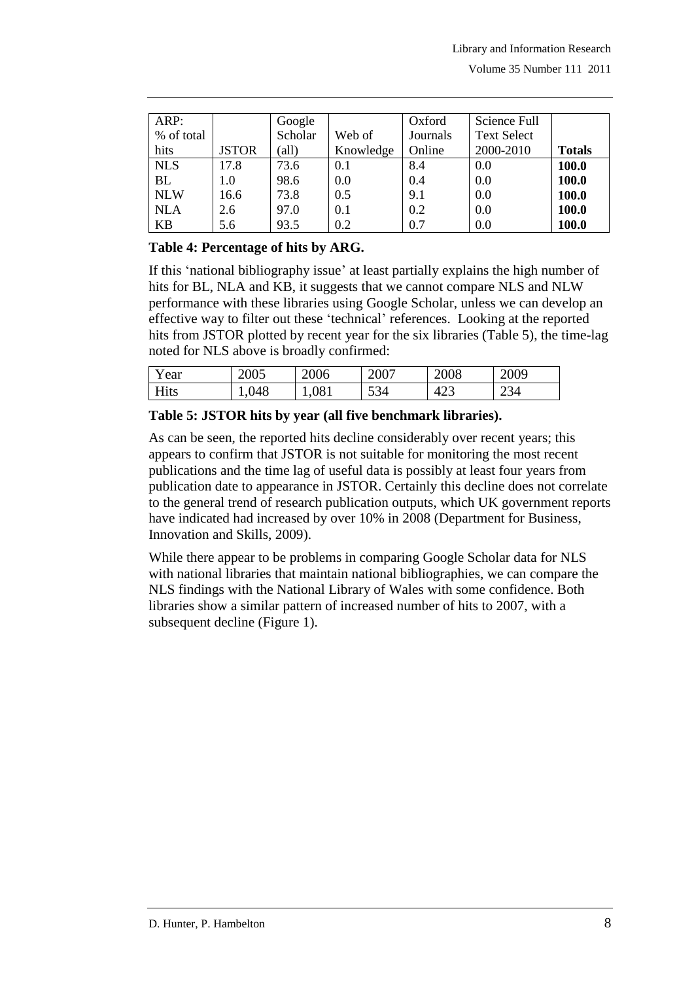| ARP:       |              | Google         |           | Oxford   | Science Full       |               |
|------------|--------------|----------------|-----------|----------|--------------------|---------------|
| % of total |              | Scholar        | Web of    | Journals | <b>Text Select</b> |               |
| hits       | <b>JSTOR</b> | $\text{(all)}$ | Knowledge | Online   | 2000-2010          | <b>Totals</b> |
| <b>NLS</b> | 17.8         | 73.6           | 0.1       | 8.4      | 0.0                | 100.0         |
| <b>BL</b>  | 1.0          | 98.6           | 0.0       | 0.4      | 0.0                | 100.0         |
| <b>NLW</b> | 16.6         | 73.8           | 0.5       | 9.1      | 0.0                | 100.0         |
| <b>NLA</b> | 2.6          | 97.0           | 0.1       | 0.2      | 0.0                | 100.0         |
| KB         | 5.6          | 93.5           | 0.2       | 0.7      | 0.0                | 100.0         |

### **Table 4: Percentage of hits by ARG.**

If this "national bibliography issue" at least partially explains the high number of hits for BL, NLA and KB, it suggests that we cannot compare NLS and NLW performance with these libraries using Google Scholar, unless we can develop an effective way to filter out these "technical" references. Looking at the reported hits from JSTOR plotted by recent year for the six libraries (Table 5), the time-lag noted for NLS above is broadly confirmed:

| Year | 2005  | 2006  | 2007 | 2008 | 2009 |
|------|-------|-------|------|------|------|
| Hits | 1,048 | 1,081 | 534  | 423  | 234  |

### **Table 5: JSTOR hits by year (all five benchmark libraries).**

As can be seen, the reported hits decline considerably over recent years; this appears to confirm that JSTOR is not suitable for monitoring the most recent publications and the time lag of useful data is possibly at least four years from publication date to appearance in JSTOR. Certainly this decline does not correlate to the general trend of research publication outputs, which UK government reports have indicated had increased by over 10% in 2008 (Department for Business, Innovation and Skills, 2009).

While there appear to be problems in comparing Google Scholar data for NLS with national libraries that maintain national bibliographies, we can compare the NLS findings with the National Library of Wales with some confidence. Both libraries show a similar pattern of increased number of hits to 2007, with a subsequent decline (Figure 1).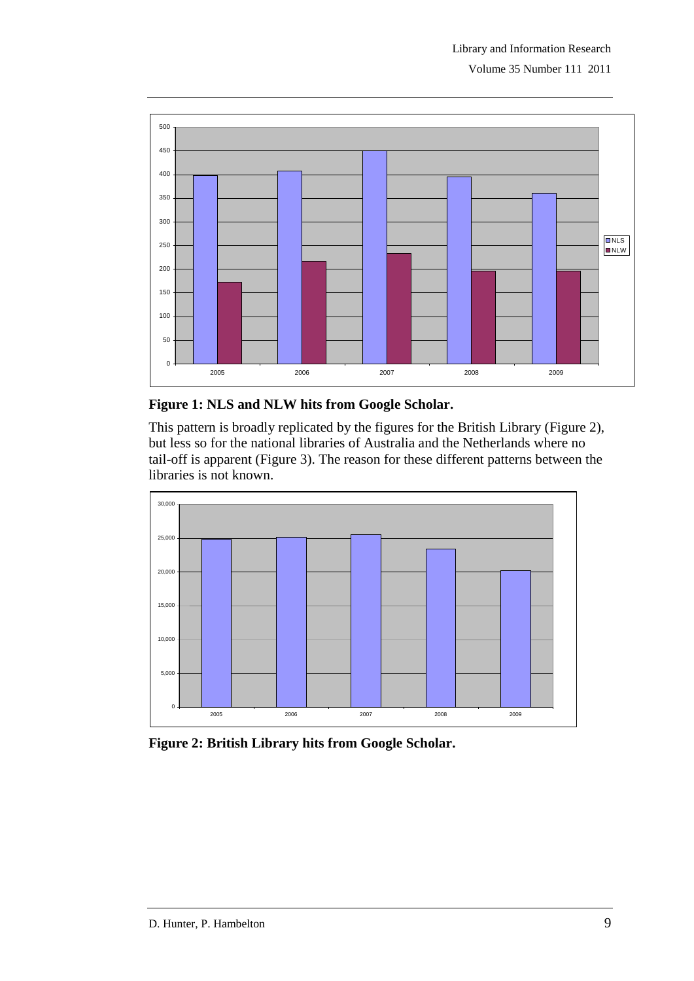

# **Figure 1: NLS and NLW hits from Google Scholar.**

This pattern is broadly replicated by the figures for the British Library (Figure 2), but less so for the national libraries of Australia and the Netherlands where no tail-off is apparent (Figure 3). The reason for these different patterns between the libraries is not known.



**Figure 2: British Library hits from Google Scholar.**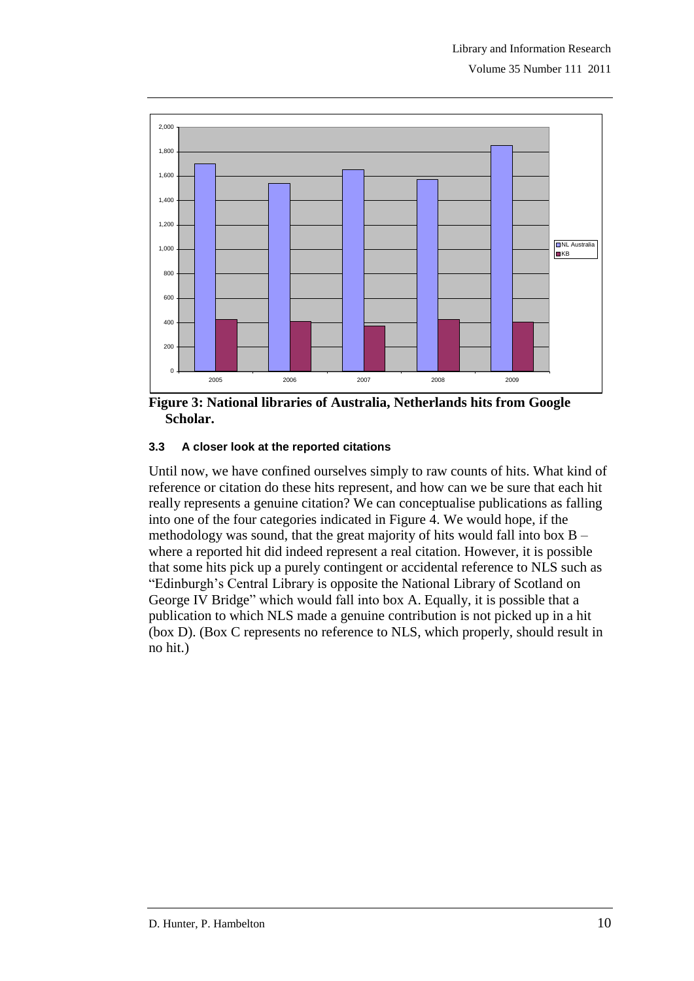

**Figure 3: National libraries of Australia, Netherlands hits from Google Scholar.**

#### **3.3 A closer look at the reported citations**

Until now, we have confined ourselves simply to raw counts of hits. What kind of reference or citation do these hits represent, and how can we be sure that each hit really represents a genuine citation? We can conceptualise publications as falling into one of the four categories indicated in Figure 4. We would hope, if the methodology was sound, that the great majority of hits would fall into box B – where a reported hit did indeed represent a real citation. However, it is possible that some hits pick up a purely contingent or accidental reference to NLS such as "Edinburgh"s Central Library is opposite the National Library of Scotland on George IV Bridge" which would fall into box A. Equally, it is possible that a publication to which NLS made a genuine contribution is not picked up in a hit (box D). (Box C represents no reference to NLS, which properly, should result in no hit.)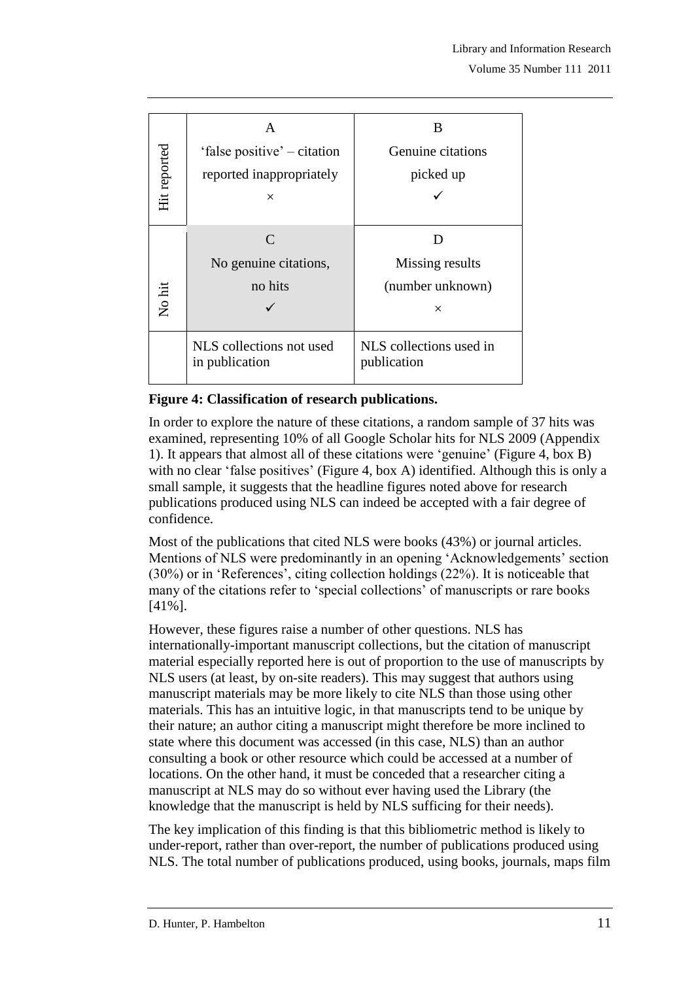|              | A                                                         | B                                                                                                                                                                                                                                                                                                                                                                                                                                                                                                                                                                                                                                                                                                                                                                                                                                                                                                                                                                                  |    |
|--------------|-----------------------------------------------------------|------------------------------------------------------------------------------------------------------------------------------------------------------------------------------------------------------------------------------------------------------------------------------------------------------------------------------------------------------------------------------------------------------------------------------------------------------------------------------------------------------------------------------------------------------------------------------------------------------------------------------------------------------------------------------------------------------------------------------------------------------------------------------------------------------------------------------------------------------------------------------------------------------------------------------------------------------------------------------------|----|
|              | 'false positive' – citation                               | Genuine citations                                                                                                                                                                                                                                                                                                                                                                                                                                                                                                                                                                                                                                                                                                                                                                                                                                                                                                                                                                  |    |
|              | reported inappropriately                                  | picked up                                                                                                                                                                                                                                                                                                                                                                                                                                                                                                                                                                                                                                                                                                                                                                                                                                                                                                                                                                          |    |
| Hit reported | $\times$                                                  |                                                                                                                                                                                                                                                                                                                                                                                                                                                                                                                                                                                                                                                                                                                                                                                                                                                                                                                                                                                    |    |
|              | $\mathcal{C}$                                             | D                                                                                                                                                                                                                                                                                                                                                                                                                                                                                                                                                                                                                                                                                                                                                                                                                                                                                                                                                                                  |    |
|              | No genuine citations,                                     | Missing results                                                                                                                                                                                                                                                                                                                                                                                                                                                                                                                                                                                                                                                                                                                                                                                                                                                                                                                                                                    |    |
|              | no hits                                                   | (number unknown)                                                                                                                                                                                                                                                                                                                                                                                                                                                                                                                                                                                                                                                                                                                                                                                                                                                                                                                                                                   |    |
| No hit       |                                                           | ×                                                                                                                                                                                                                                                                                                                                                                                                                                                                                                                                                                                                                                                                                                                                                                                                                                                                                                                                                                                  |    |
|              | NLS collections not used<br>in publication                | NLS collections used in<br>publication                                                                                                                                                                                                                                                                                                                                                                                                                                                                                                                                                                                                                                                                                                                                                                                                                                                                                                                                             |    |
|              | <b>Figure 4: Classification of research publications.</b> |                                                                                                                                                                                                                                                                                                                                                                                                                                                                                                                                                                                                                                                                                                                                                                                                                                                                                                                                                                                    |    |
| confidence.  |                                                           | examined, representing 10% of all Google Scholar hits for NLS 2009 (Appendix<br>1). It appears that almost all of these citations were 'genuine' (Figure 4, box B)<br>with no clear 'false positives' (Figure 4, box A) identified. Although this is only a<br>small sample, it suggests that the headline figures noted above for research<br>publications produced using NLS can indeed be accepted with a fair degree of                                                                                                                                                                                                                                                                                                                                                                                                                                                                                                                                                        |    |
| $[41\%]$ .   |                                                           | Most of the publications that cited NLS were books (43%) or journal articles.<br>Mentions of NLS were predominantly in an opening 'Acknowledgements' section<br>$(30\%)$ or in 'References', citing collection holdings $(22\%)$ . It is noticeable that<br>many of the citations refer to 'special collections' of manuscripts or rare books                                                                                                                                                                                                                                                                                                                                                                                                                                                                                                                                                                                                                                      |    |
|              |                                                           | However, these figures raise a number of other questions. NLS has<br>internationally-important manuscript collections, but the citation of manuscript<br>material especially reported here is out of proportion to the use of manuscripts by<br>NLS users (at least, by on-site readers). This may suggest that authors using<br>manuscript materials may be more likely to cite NLS than those using other<br>materials. This has an intuitive logic, in that manuscripts tend to be unique by<br>their nature; an author citing a manuscript might therefore be more inclined to<br>state where this document was accessed (in this case, NLS) than an author<br>consulting a book or other resource which could be accessed at a number of<br>locations. On the other hand, it must be conceded that a researcher citing a<br>manuscript at NLS may do so without ever having used the Library (the<br>knowledge that the manuscript is held by NLS sufficing for their needs). |    |
|              |                                                           | The key implication of this finding is that this bibliometric method is likely to<br>under-report, rather than over-report, the number of publications produced using<br>NLS. The total number of publications produced, using books, journals, maps film                                                                                                                                                                                                                                                                                                                                                                                                                                                                                                                                                                                                                                                                                                                          |    |
|              | D. Hunter, P. Hambelton                                   |                                                                                                                                                                                                                                                                                                                                                                                                                                                                                                                                                                                                                                                                                                                                                                                                                                                                                                                                                                                    | 11 |

# **Figure 4: Classification of research publications.**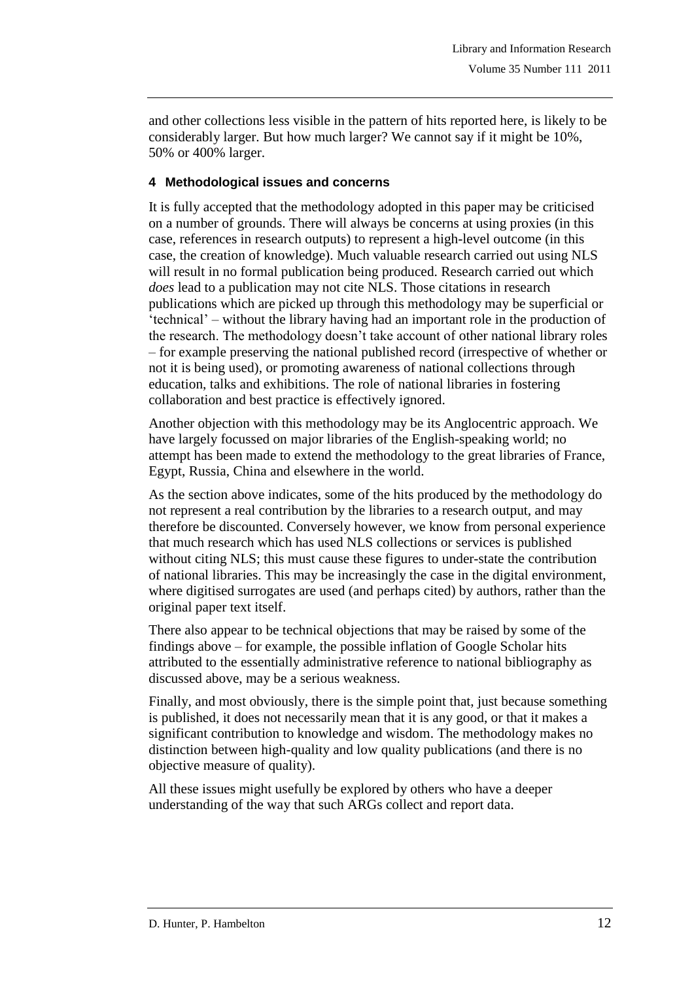and other collections less visible in the pattern of hits reported here, is likely to be considerably larger. But how much larger? We cannot say if it might be 10%, 50% or 400% larger.

#### **4 Methodological issues and concerns**

It is fully accepted that the methodology adopted in this paper may be criticised on a number of grounds. There will always be concerns at using proxies (in this case, references in research outputs) to represent a high-level outcome (in this case, the creation of knowledge). Much valuable research carried out using NLS will result in no formal publication being produced. Research carried out which *does* lead to a publication may not cite NLS. Those citations in research publications which are picked up through this methodology may be superficial or "technical" – without the library having had an important role in the production of the research. The methodology doesn"t take account of other national library roles – for example preserving the national published record (irrespective of whether or not it is being used), or promoting awareness of national collections through education, talks and exhibitions. The role of national libraries in fostering collaboration and best practice is effectively ignored.

Another objection with this methodology may be its Anglocentric approach. We have largely focussed on major libraries of the English-speaking world; no attempt has been made to extend the methodology to the great libraries of France, Egypt, Russia, China and elsewhere in the world.

As the section above indicates, some of the hits produced by the methodology do not represent a real contribution by the libraries to a research output, and may therefore be discounted. Conversely however, we know from personal experience that much research which has used NLS collections or services is published without citing NLS; this must cause these figures to under-state the contribution of national libraries. This may be increasingly the case in the digital environment, where digitised surrogates are used (and perhaps cited) by authors, rather than the original paper text itself.

There also appear to be technical objections that may be raised by some of the findings above – for example, the possible inflation of Google Scholar hits attributed to the essentially administrative reference to national bibliography as discussed above, may be a serious weakness.

Finally, and most obviously, there is the simple point that, just because something is published, it does not necessarily mean that it is any good, or that it makes a significant contribution to knowledge and wisdom. The methodology makes no distinction between high-quality and low quality publications (and there is no objective measure of quality).

All these issues might usefully be explored by others who have a deeper understanding of the way that such ARGs collect and report data.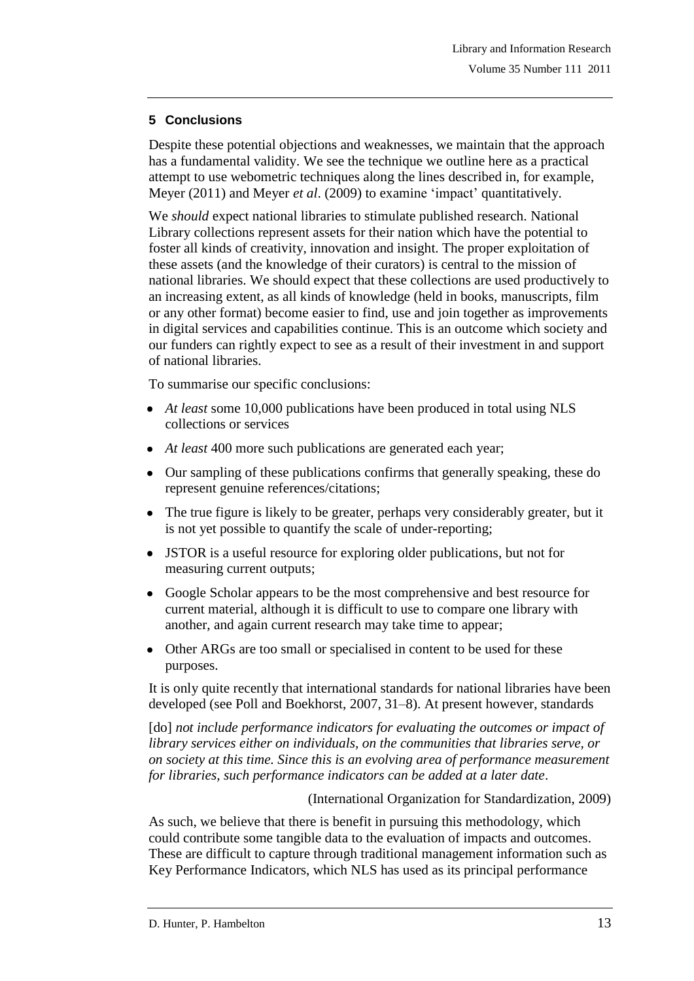# **5 Conclusions**

Despite these potential objections and weaknesses, we maintain that the approach has a fundamental validity. We see the technique we outline here as a practical attempt to use webometric techniques along the lines described in, for example, Meyer (2011) and Meyer *et al.* (2009) to examine 'impact' quantitatively.

We *should* expect national libraries to stimulate published research. National Library collections represent assets for their nation which have the potential to foster all kinds of creativity, innovation and insight. The proper exploitation of these assets (and the knowledge of their curators) is central to the mission of national libraries. We should expect that these collections are used productively to an increasing extent, as all kinds of knowledge (held in books, manuscripts, film or any other format) become easier to find, use and join together as improvements in digital services and capabilities continue. This is an outcome which society and our funders can rightly expect to see as a result of their investment in and support of national libraries.

To summarise our specific conclusions:

- *At least* some 10,000 publications have been produced in total using NLS collections or services
- *At least* 400 more such publications are generated each year;
- Our sampling of these publications confirms that generally speaking, these do represent genuine references/citations;
- The true figure is likely to be greater, perhaps very considerably greater, but it is not yet possible to quantify the scale of under-reporting;
- JSTOR is a useful resource for exploring older publications, but not for measuring current outputs;
- Google Scholar appears to be the most comprehensive and best resource for current material, although it is difficult to use to compare one library with another, and again current research may take time to appear;
- Other ARGs are too small or specialised in content to be used for these purposes.

It is only quite recently that international standards for national libraries have been developed (see Poll and Boekhorst, 2007, 31–8). At present however, standards

[do] *not include performance indicators for evaluating the outcomes or impact of library services either on individuals, on the communities that libraries serve, or on society at this time. Since this is an evolving area of performance measurement for libraries, such performance indicators can be added at a later date*.

(International Organization for Standardization, 2009)

As such, we believe that there is benefit in pursuing this methodology, which could contribute some tangible data to the evaluation of impacts and outcomes. These are difficult to capture through traditional management information such as Key Performance Indicators, which NLS has used as its principal performance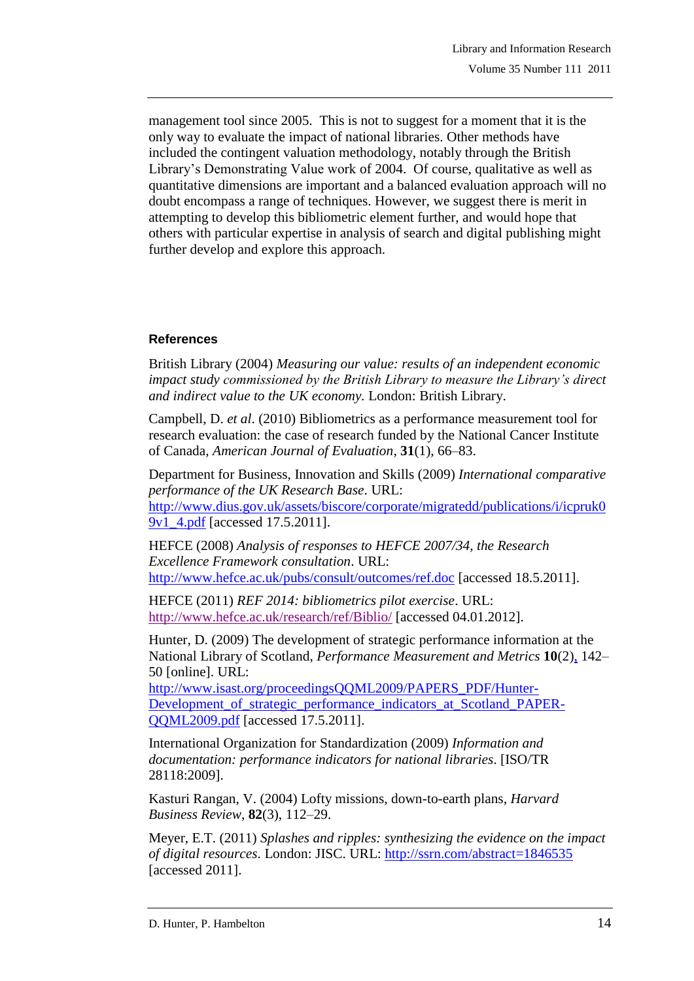management tool since 2005. This is not to suggest for a moment that it is the only way to evaluate the impact of national libraries. Other methods have included the contingent valuation methodology, notably through the British Library"s Demonstrating Value work of 2004. Of course, qualitative as well as quantitative dimensions are important and a balanced evaluation approach will no doubt encompass a range of techniques. However, we suggest there is merit in attempting to develop this bibliometric element further, and would hope that others with particular expertise in analysis of search and digital publishing might further develop and explore this approach.

### **References**

British Library (2004) *Measuring our value: results of an independent economic impact study commissioned by the British Library to measure the Library"s direct and indirect value to the UK economy.* London: British Library.

Campbell, D. *et al*. (2010) Bibliometrics as a performance measurement tool for research evaluation: the case of research funded by the National Cancer Institute of Canada, *American Journal of Evaluation*, **31**(1), 66–83.

Department for Business, Innovation and Skills (2009) *International comparative performance of the UK Research Base*. URL: [http://www.dius.gov.uk/assets/biscore/corporate/migratedd/publications/i/icpruk0](http://www.dius.gov.uk/assets/biscore/corporate/migratedd/publications/i/icpruk09v1_4.pdf) [9v1\\_4.pdf](http://www.dius.gov.uk/assets/biscore/corporate/migratedd/publications/i/icpruk09v1_4.pdf) [accessed 17.5.2011].

HEFCE (2008) *Analysis of responses to HEFCE 2007/34, the Research Excellence Framework consultation*. URL: <http://www.hefce.ac.uk/pubs/consult/outcomes/ref.doc> [accessed 18.5.2011].

HEFCE (2011) *REF 2014: bibliometrics pilot exercise*. URL: <http://www.hefce.ac.uk/research/ref/Biblio/> [accessed 04.01.2012].

Hunter, D. (2009) The development of strategic performance information at the National Library of Scotland, *Performance Measurement and Metrics* **10**(2[\),](http://www.emeraldinsight.com/journals.htm?articleid=1819363) 142– 50 [online]. URL:

[http://www.isast.org/proceedingsQQML2009/PAPERS\\_PDF/Hunter-](http://www.isast.org/proceedingsQQML2009/PAPERS_PDF/Hunter-Development_of_strategic_performance_indicators_at_Scotland_PAPER-QQML2009.pdf)[Development\\_of\\_strategic\\_performance\\_indicators\\_at\\_Scotland\\_PAPER-](http://www.isast.org/proceedingsQQML2009/PAPERS_PDF/Hunter-Development_of_strategic_performance_indicators_at_Scotland_PAPER-QQML2009.pdf)[QQML2009.pdf](http://www.isast.org/proceedingsQQML2009/PAPERS_PDF/Hunter-Development_of_strategic_performance_indicators_at_Scotland_PAPER-QQML2009.pdf) [accessed 17.5.2011].

International Organization for Standardization (2009) *Information and documentation: performance indicators for national libraries*. [ISO/TR 28118:2009].

Kasturi Rangan, V. (2004) Lofty missions, down-to-earth plans, *Harvard Business Review*, **82**(3), 112–29.

Meyer, E.T. (2011) *Splashes and ripples: synthesizing the evidence on the impact of digital resources*. London: JISC. URL:<http://ssrn.com/abstract=1846535> [accessed 2011].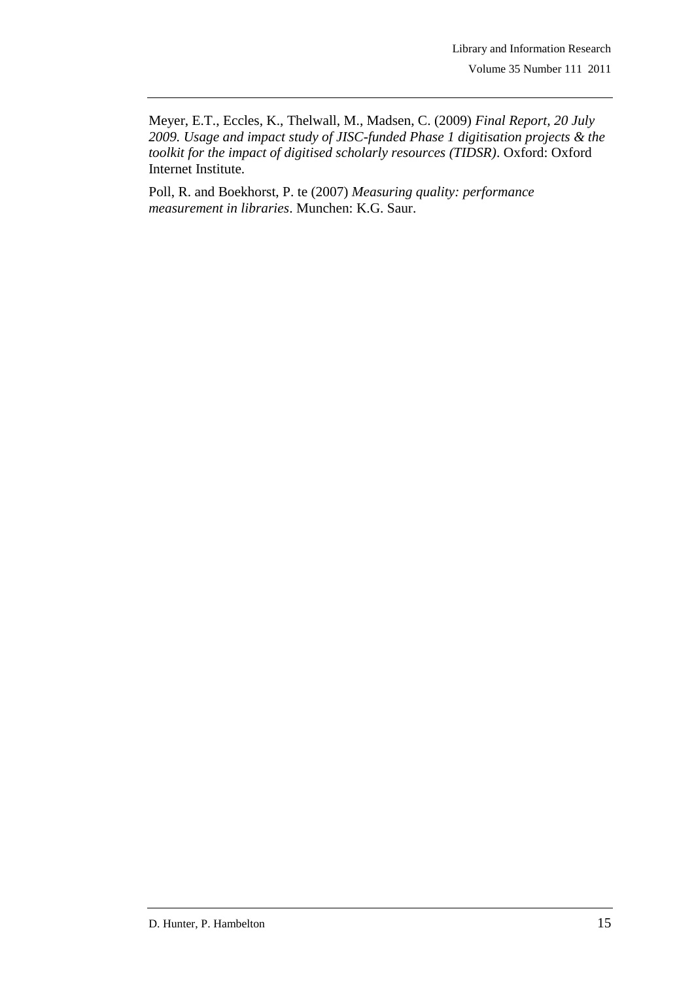Meyer, E.T., Eccles, K., Thelwall, M., Madsen, C. (2009) *Final Report, 20 July 2009. Usage and impact study of JISC-funded Phase 1 digitisation projects & the toolkit for the impact of digitised scholarly resources (TIDSR)*. Oxford: Oxford Internet Institute.

Poll, R. and Boekhorst, P. te (2007) *Measuring quality: performance measurement in libraries*. Munchen: K.G. Saur.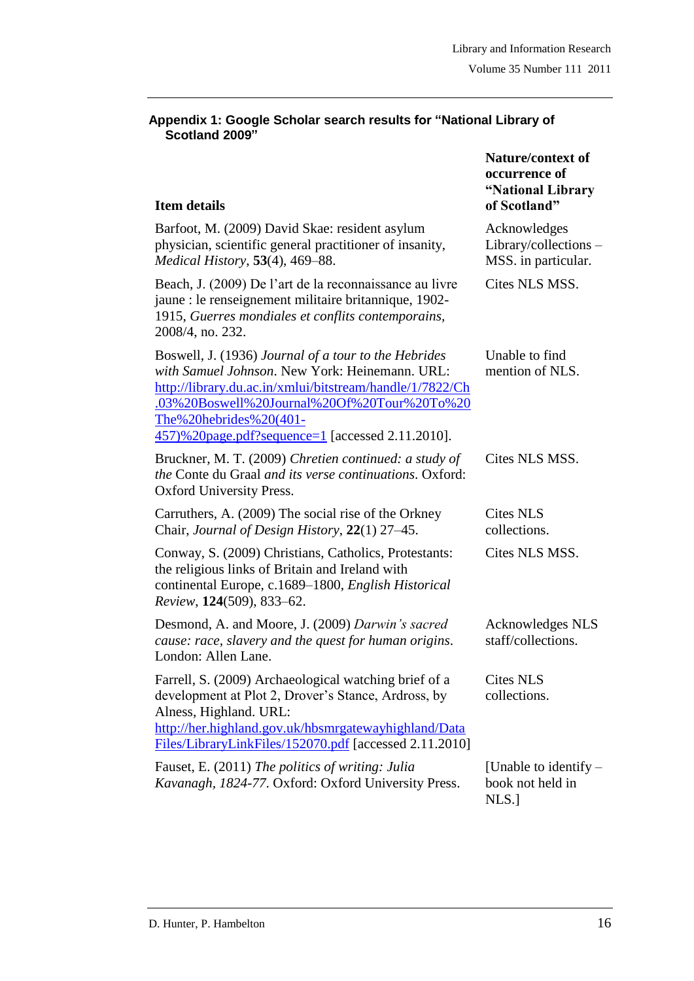**Nature/context of occurrence of "National Library** 

#### **Appendix 1: Google Scholar search results for "National Library of Scotland 2009"**

# **Item details**

| <b>Item details</b>                                                                                                                                                                                                                                                                             | of Scotland"                                                 |
|-------------------------------------------------------------------------------------------------------------------------------------------------------------------------------------------------------------------------------------------------------------------------------------------------|--------------------------------------------------------------|
| Barfoot, M. (2009) David Skae: resident asylum<br>physician, scientific general practitioner of insanity,<br>Medical History, 53(4), 469-88.                                                                                                                                                    | Acknowledges<br>Library/collections -<br>MSS. in particular. |
| Beach, J. (2009) De l'art de la reconnaissance au livre<br>jaune : le renseignement militaire britannique, 1902-<br>1915, Guerres mondiales et conflits contemporains,<br>2008/4, no. 232.                                                                                                      | Cites NLS MSS.                                               |
| Boswell, J. (1936) Journal of a tour to the Hebrides<br>with Samuel Johnson. New York: Heinemann. URL:<br>http://library.du.ac.in/xmlui/bitstream/handle/1/7822/Ch<br>.03%20Boswell%20Journal%20Of%20Tour%20To%20<br>The%20hebrides%20(401-<br>457)%20page.pdf?sequence=1 [accessed 2.11.2010]. | Unable to find<br>mention of NLS.                            |
| Bruckner, M. T. (2009) Chretien continued: a study of<br><i>the</i> Conte du Graal <i>and its verse continuations</i> . Oxford:<br>Oxford University Press.                                                                                                                                     | Cites NLS MSS.                                               |
| Carruthers, A. (2009) The social rise of the Orkney<br>Chair, Journal of Design History, 22(1) 27–45.                                                                                                                                                                                           | <b>Cites NLS</b><br>collections.                             |
| Conway, S. (2009) Christians, Catholics, Protestants:<br>the religious links of Britain and Ireland with<br>continental Europe, c.1689–1800, English Historical<br>Review, 124(509), 833-62.                                                                                                    | Cites NLS MSS.                                               |
| Desmond, A. and Moore, J. (2009) Darwin's sacred<br>cause: race, slavery and the quest for human origins.<br>London: Allen Lane.                                                                                                                                                                | Acknowledges NLS<br>staff/collections.                       |
| Farrell, S. (2009) Archaeological watching brief of a<br>development at Plot 2, Drover's Stance, Ardross, by<br>Alness, Highland. URL:<br>http://her.highland.gov.uk/hbsmrgatewayhighland/Data<br>Files/LibraryLinkFiles/152070.pdf [accessed 2.11.2010]                                        | <b>Cites NLS</b><br>collections.                             |
| Fauset, E. (2011) The politics of writing: Julia<br>Kavanagh, 1824-77. Oxford: Oxford University Press.                                                                                                                                                                                         | [Unable to identify $-$<br>book not held in<br>NLS.]         |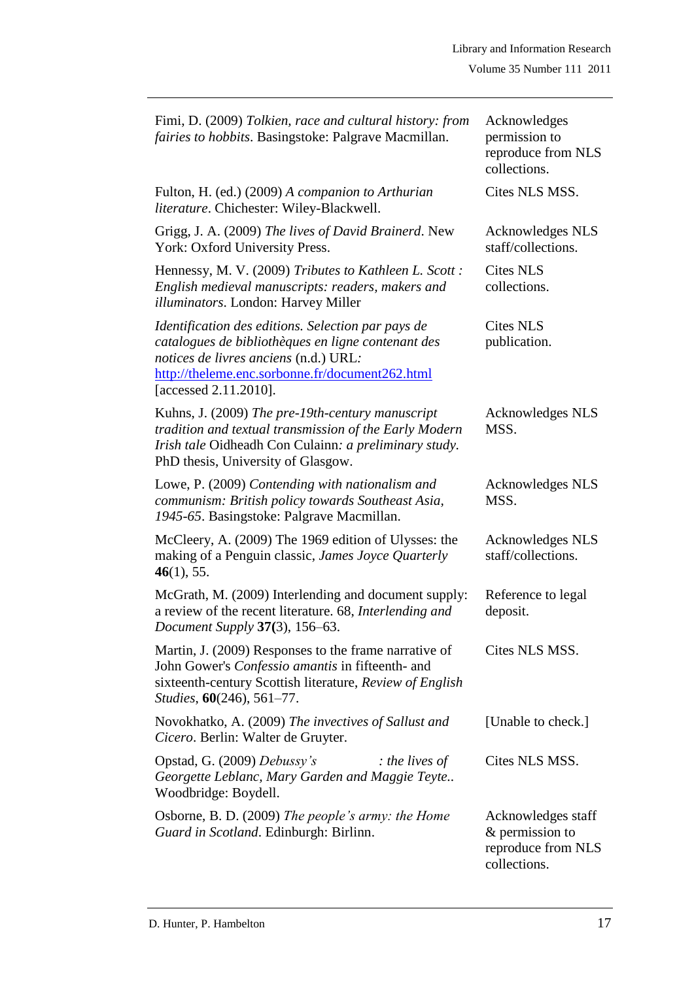| Fimi, D. (2009) Tolkien, race and cultural history: from<br>fairies to hobbits. Basingstoke: Palgrave Macmillan.                                                                                                              | Acknowledges<br>permission to<br>reproduce from NLS<br>collections.         |
|-------------------------------------------------------------------------------------------------------------------------------------------------------------------------------------------------------------------------------|-----------------------------------------------------------------------------|
| Fulton, H. (ed.) (2009) A companion to Arthurian<br>literature. Chichester: Wiley-Blackwell.                                                                                                                                  | Cites NLS MSS.                                                              |
| Grigg, J. A. (2009) The lives of David Brainerd. New<br>York: Oxford University Press.                                                                                                                                        | Acknowledges NLS<br>staff/collections.                                      |
| Hennessy, M. V. (2009) Tributes to Kathleen L. Scott:<br>English medieval manuscripts: readers, makers and<br>illuminators. London: Harvey Miller                                                                             | <b>Cites NLS</b><br>collections.                                            |
| Identification des editions. Selection par pays de<br>catalogues de bibliothèques en ligne contenant des<br>notices de livres anciens (n.d.) URL:<br>http://theleme.enc.sorbonne.fr/document262.html<br>[accessed 2.11.2010]. | <b>Cites NLS</b><br>publication.                                            |
| Kuhns, J. (2009) The pre-19th-century manuscript<br>tradition and textual transmission of the Early Modern<br>Irish tale Oidheadh Con Culainn: a preliminary study.<br>PhD thesis, University of Glasgow.                     | <b>Acknowledges NLS</b><br>MSS.                                             |
| Lowe, P. (2009) Contending with nationalism and<br>communism: British policy towards Southeast Asia,<br>1945-65. Basingstoke: Palgrave Macmillan.                                                                             | Acknowledges NLS<br>MSS.                                                    |
| McCleery, A. (2009) The 1969 edition of Ulysses: the<br>making of a Penguin classic, James Joyce Quarterly<br>46(1), 55.                                                                                                      | Acknowledges NLS<br>staff/collections.                                      |
| McGrath, M. (2009) Interlending and document supply:<br>a review of the recent literature. 68, Interlending and<br>Document Supply 37(3), 156-63.                                                                             | Reference to legal<br>deposit.                                              |
| Martin, J. (2009) Responses to the frame narrative of<br>John Gower's Confessio amantis in fifteenth- and<br>sixteenth-century Scottish literature, Review of English<br>Studies, 60(246), 561-77.                            | Cites NLS MSS.                                                              |
| Novokhatko, A. (2009) The invectives of Sallust and<br>Cicero. Berlin: Walter de Gruyter.                                                                                                                                     | [Unable to check.]                                                          |
| Opstad, G. (2009) Debussy's<br>$:$ the lives of<br>Georgette Leblanc, Mary Garden and Maggie Teyte<br>Woodbridge: Boydell.                                                                                                    | Cites NLS MSS.                                                              |
| Osborne, B. D. (2009) The people's army: the Home<br>Guard in Scotland. Edinburgh: Birlinn.                                                                                                                                   | Acknowledges staff<br>& permission to<br>reproduce from NLS<br>collections. |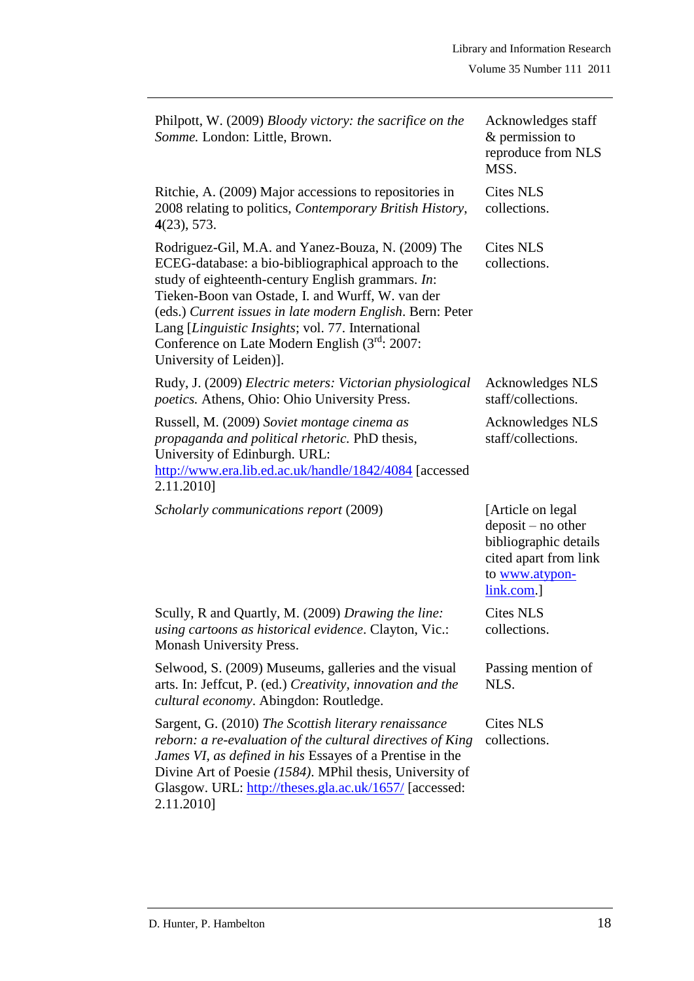| Philpott, W. (2009) Bloody victory: the sacrifice on the<br>Somme. London: Little, Brown.                                                                                                                                                                                                                                                                                                                         | Acknowledges staff<br>& permission to<br>reproduce from NLS<br>MSS.                                                        |
|-------------------------------------------------------------------------------------------------------------------------------------------------------------------------------------------------------------------------------------------------------------------------------------------------------------------------------------------------------------------------------------------------------------------|----------------------------------------------------------------------------------------------------------------------------|
| Ritchie, A. (2009) Major accessions to repositories in<br>2008 relating to politics, Contemporary British History,<br>4(23), 573.                                                                                                                                                                                                                                                                                 | <b>Cites NLS</b><br>collections.                                                                                           |
| Rodriguez-Gil, M.A. and Yanez-Bouza, N. (2009) The<br>ECEG-database: a bio-bibliographical approach to the<br>study of eighteenth-century English grammars. In:<br>Tieken-Boon van Ostade, I. and Wurff, W. van der<br>(eds.) Current issues in late modern English. Bern: Peter<br>Lang [Linguistic Insights; vol. 77. International<br>Conference on Late Modern English (3rd: 2007:<br>University of Leiden)]. | <b>Cites NLS</b><br>collections.                                                                                           |
| Rudy, J. (2009) Electric meters: Victorian physiological<br><i>poetics.</i> Athens, Ohio: Ohio University Press.                                                                                                                                                                                                                                                                                                  | Acknowledges NLS<br>staff/collections.                                                                                     |
| Russell, M. (2009) Soviet montage cinema as<br>propaganda and political rhetoric. PhD thesis,<br>University of Edinburgh. URL:<br>http://www.era.lib.ed.ac.uk/handle/1842/4084 [accessed<br>2.11.2010]                                                                                                                                                                                                            | <b>Acknowledges NLS</b><br>staff/collections.                                                                              |
| Scholarly communications report (2009)                                                                                                                                                                                                                                                                                                                                                                            | [Article on legal]<br>deposit - no other<br>bibliographic details<br>cited apart from link<br>to www.atypon-<br>link.com.] |
| Scully, R and Quartly, M. (2009) Drawing the line:<br>using cartoons as historical evidence. Clayton, Vic.:<br>Monash University Press.                                                                                                                                                                                                                                                                           | <b>Cites NLS</b><br>collections.                                                                                           |
| Selwood, S. (2009) Museums, galleries and the visual<br>arts. In: Jeffcut, P. (ed.) Creativity, innovation and the<br>cultural economy. Abingdon: Routledge.                                                                                                                                                                                                                                                      | Passing mention of<br>NLS.                                                                                                 |
| Sargent, G. (2010) The Scottish literary renaissance<br>reborn: a re-evaluation of the cultural directives of King<br>James VI, as defined in his Essayes of a Prentise in the<br>Divine Art of Poesie (1584). MPhil thesis, University of<br>Glasgow. URL: http://theses.gla.ac.uk/1657/ [accessed:<br>2.11.2010]                                                                                                | Cites NLS<br>collections.                                                                                                  |